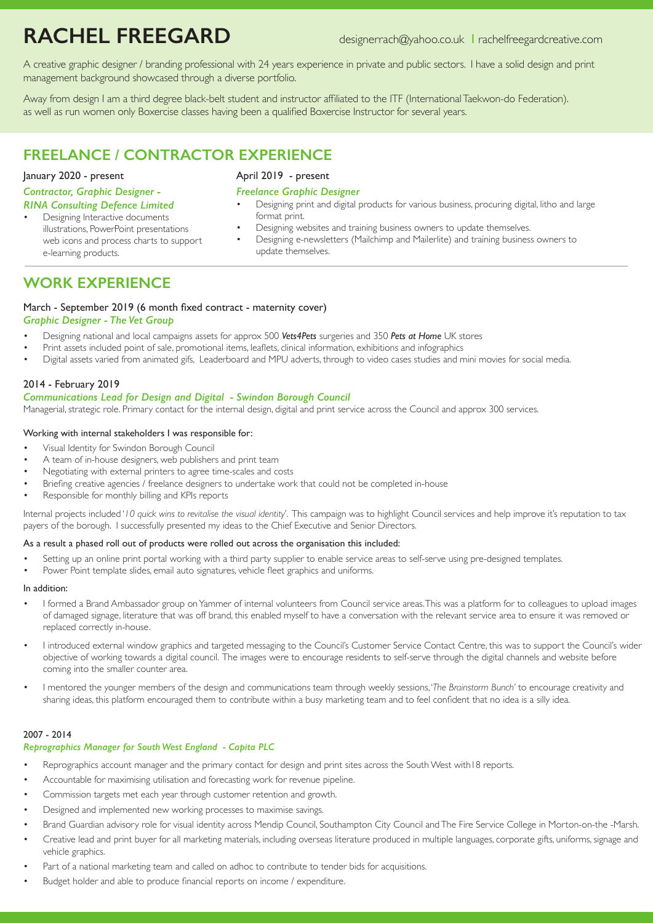# **RACHEL FREEGARD** designerrach@yahoo.co.uk <sup>I</sup> rachelfreegardcreative.com

A creative graphic designer / branding professional with 24 years experience in private and public sectors. I have a solid design and print management background showcased through a diverse portfolio.

Away from design I am a third degree black-belt student and instructor affiliated to the ITF (International Taekwon-do Federation). as well as run women only Boxercise classes having been a qualified Boxercise Instructor for several years.

## **FREELANCE / CONTRACTOR EXPERIENCE**

#### January 2020 - present

#### *Contractor, Graphic Designer -*

#### *RINA Consulting Defence Limited*

Designing Interactive documents illustrations, PowerPoint presentations web icons and process charts to support e-learning products.

### April 2019 - present

#### *Freelance Graphic Designer*

- Designing print and digital products for various business, procuring digital, litho and large format print.
- Designing websites and training business owners to update themselves.
- Designing e-newsletters (Mailchimp and Mailerlite) and training business owners to update themselves.

### **WORK EXPERIENCE**

#### March - September 2019 (6 month fixed contract - maternity cover)

#### *Graphic Designer - The Vet Group*

- Designing national and local campaigns assets for approx 500 *Vets4Pets* surgeries and 350 *Pets at Home* UK stores
- Print assets included point of sale, promotional items, leaflets, clinical information, exhibitions and infographics
- Digital assets varied from animated gifs, Leaderboard and MPU adverts, through to video cases studies and mini movies for social media.

#### 2014 - February 2019

#### *Communications Lead for Design and Digital - Swindon Borough Council*

Managerial, strategic role. Primary contact for the internal design, digital and print service across the Council and approx 300 services.

#### Working with internal stakeholders I was responsible for:

- Visual Identity for Swindon Borough Council
- A team of in-house designers, web publishers and print team
- Negotiating with external printers to agree time-scales and costs
- Briefing creative agencies / freelance designers to undertake work that could not be completed in-house
- Responsible for monthly billing and KPIs reports

Internal projects included '*10 quick wins to revitalise the visual identity*'. This campaign was to highlight Council services and help improve it's reputation to tax payers of the borough. I successfully presented my ideas to the Chief Executive and Senior Directors.

#### As a result a phased roll out of products were rolled out across the organisation this included:

- Setting up an online print portal working with a third party supplier to enable service areas to self-serve using pre-designed templates.
- Power Point template slides, email auto signatures, vehicle fleet graphics and uniforms.

#### In addition:

- I formed a Brand Ambassador group on Yammer of internal volunteers from Council service areas. This was a platform for to colleagues to upload images of damaged signage, literature that was off brand, this enabled myself to have a conversation with the relevant service area to ensure it was removed or replaced correctly in-house.
- I introduced external window graphics and targeted messaging to the Council's Customer Service Contact Centre, this was to support the Council's wider objective of working towards a digital council. The images were to encourage residents to self-serve through the digital channels and website before coming into the smaller counter area.
- I mentored the younger members of the design and communications team through weekly sessions, '*The Brainstorm Bunch'* to encourage creativity and sharing ideas, this platform encouraged them to contribute within a busy marketing team and to feel confident that no idea is a silly idea.

#### 2007 - 2014

#### *Reprographics Manager for South West England - Capita PLC*

- Reprographics account manager and the primary contact for design and print sites across the South West with 18 reports.
- Accountable for maximising utilisation and forecasting work for revenue pipeline.
- Commission targets met each year through customer retention and growth.
- Designed and implemented new working processes to maximise savings.
- Brand Guardian advisory role for visual identity across Mendip Council, Southampton City Council and The Fire Service College in Morton-on-the -Marsh.
- Creative lead and print buyer for all marketing materials, including overseas literature produced in multiple languages, corporate gifts, uniforms, signage and vehicle graphics.
- Part of a national marketing team and called on adhoc to contribute to tender bids for acquisitions.
- Budget holder and able to produce financial reports on income / expenditure.